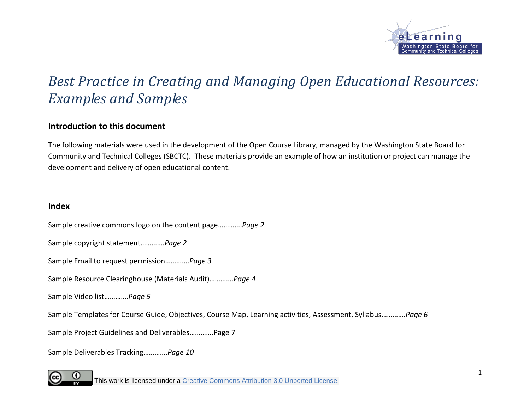

# *Best Practice in Creating and Managing Open Educational Resources: Examples and Samples*

## **Introduction to this document**

The following materials were used in the development of the Open Course Library, managed by the Washington State Board for Community and Technical Colleges (SBCTC). These materials provide an example of how an institution or project can manage the development and delivery of open educational content.

#### **Index**

Sample creative commons logo on the content page………….*Page 2*

Sample copyright statement………….*Page 2*

Sample Email to request permission………….*Page 3*

Sample Resource Clearinghouse (Materials Audit)………….*Page 4*

Sample Video list………….*Page 5*

Sample Templates for Course Guide, Objectives, Course Map, Learning activities, Assessment, Syllabus………….*Page 6*

Sample Project Guidelines and Deliverables………….Page 7

Sample Deliverables Tracking………….*Page 10*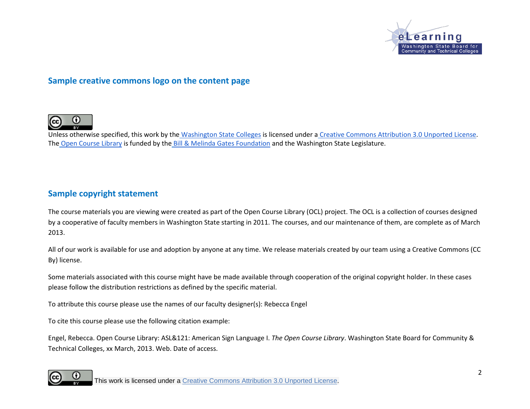

#### **Sample creative commons logo on the content page**



Unless otherwise specified, this work by the [Washington State Colleges](http://sbctc.edu/) is licensed under a [Creative Commons Attribution 3.0 Unported License.](http://creativecommons.org/licenses/by/3.0/) The [Open Course Library](http://opencourselibrary.org/) is funded by the [Bill & Melinda Gates Foundation](http://www.gatesfoundation.org/postsecondaryeducation/Pages/default.aspx) and the Washington State Legislature.

#### **Sample copyright statement**

The course materials you are viewing were created as part of the Open Course Library (OCL) project. The OCL is a collection of courses designed by a cooperative of faculty members in Washington State starting in 2011. The courses, and our maintenance of them, are complete as of March 2013.

All of our work is available for use and adoption by anyone at any time. We release materials created by our team using a Creative Commons (CC By) license.

Some materials associated with this course might have be made available through cooperation of the original copyright holder. In these cases please follow the distribution restrictions as defined by the specific material.

To attribute this course please use the names of our faculty designer(s): Rebecca Engel

To cite this course please use the following citation example:

Engel, Rebecca. Open Course Library: ASL&121: American Sign Language I. *The Open Course Library*. Washington State Board for Community & Technical Colleges, xx March, 2013. Web. Date of access.

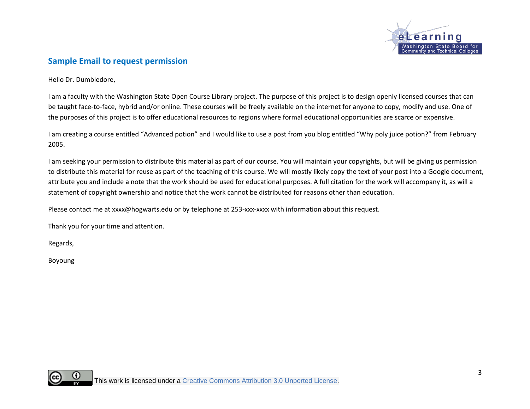

## **Sample Email to request permission**

Hello Dr. Dumbledore,

I am a faculty with the Washington State Open Course Library project. The purpose of this project is to design openly licensed courses that can be taught face-to-face, hybrid and/or online. These courses will be freely available on the internet for anyone to copy, modify and use. One of the purposes of this project is to offer educational resources to regions where formal educational opportunities are scarce or expensive.

I am creating a course entitled "Advanced potion" and I would like to use a post from you blog entitled "Why poly juice potion?" from February 2005.

I am seeking your permission to distribute this material as part of our course. You will maintain your copyrights, but will be giving us permission to distribute this material for reuse as part of the teaching of this course. We will mostly likely copy the text of your post into a Google document, attribute you and include a note that the work should be used for educational purposes. A full citation for the work will accompany it, as will a statement of copyright ownership and notice that the work cannot be distributed for reasons other than education.

Please contact me at xxxx@hogwarts.edu or by telephone at 253-xxx-xxxx with information about this request.

Thank you for your time and attention.

Regards,

Boyoung

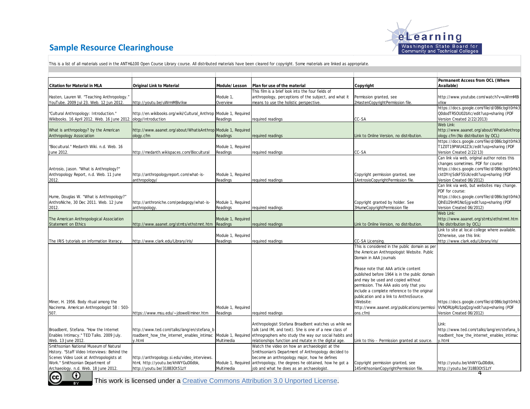

## **Sample Resource Clearinghouse**

| <b>Citation for Material in MLA</b>                                      | <b>Original Link to Material</b>                                                   | Module/Lesson                    | Plan for use of the material                                                                        | Copyright                                      | Permanent Access from OCL (Where<br>Available)         |
|--------------------------------------------------------------------------|------------------------------------------------------------------------------------|----------------------------------|-----------------------------------------------------------------------------------------------------|------------------------------------------------|--------------------------------------------------------|
|                                                                          |                                                                                    |                                  | This film is a brief look into the four fields of                                                   |                                                |                                                        |
| Hasten, Lauren W. "Teaching Anthropology."                               |                                                                                    | Module 1,                        | anthropology, perceptions of the subject, and what it                                               | Permission granted, see                        | http://www.youtube.com/watch?v=uWrmMBi                 |
| YouTube. 2009 Jul 23. Web. 12 Jun 2012.                                  | http://youtu.be/uWrmMBivIkw                                                        | Overview                         | means to use the holistic perspective.                                                              | 2HastenCopyrightPermission file.               | vlkw                                                   |
|                                                                          |                                                                                    |                                  |                                                                                                     |                                                | https://docs.google.com/file/d/0B6cbgIt0rhk3           |
| "Cultural Anthropology: Introduction."                                   | http://en.wikibooks.org/wiki/Cultural_Anthrop Module 1, Required                   |                                  |                                                                                                     |                                                | Q0dodTR5OU02bXc/edit?usp=sharing (PDF                  |
| Wikibooks. 16 April 2012. Web. 16 June 2012. ology/Introduction          |                                                                                    | Readings                         | required readings                                                                                   | CC-SA                                          | Version Created 2/22/2013)                             |
| What is anthropology? by the American                                    | http://www.aaanet.org/about/WhatisAnthrop Module 1, Required                       |                                  |                                                                                                     |                                                | Web Link:<br>http://www.aaanet.org/about/WhatisAnthrop |
| Anthropology Association                                                 | ology.cfm                                                                          | Readings                         | required readings                                                                                   | Link to Online Version, no distribution.       | ology.cfm (No distribution by OCL)                     |
|                                                                          |                                                                                    |                                  |                                                                                                     |                                                | https://docs.google.com/file/d/0B6cbgIt0rhk3           |
| "Biocultural." Medanth Wiki. n.d. Web. 16                                |                                                                                    | Module 1, Required               |                                                                                                     |                                                | T1Z0T19PWU42Z3c/edit?usp=sharing (PDF                  |
| June 2012.                                                               | http://medanth.wikispaces.com/Biocultural                                          | Readings                         | required readings                                                                                   | CC-SA                                          | Version Created 2/22/13)                               |
|                                                                          |                                                                                    |                                  |                                                                                                     |                                                | Can link via web, original author notes this           |
|                                                                          |                                                                                    |                                  |                                                                                                     |                                                | changes sometimes. PDF for course:                     |
| Antrosio, Jason. "What is Anthroplogy?"                                  |                                                                                    |                                  |                                                                                                     |                                                | https://docs.google.com/file/d/0B6cbgIt0rhk3           |
| Anthropology Report, n.d. Web. 11 June                                   | http://anthropologyreport.com/what-is-                                             | Module 1, Required               |                                                                                                     | Copyright permission granted, see              | cktDYnJSdkF5SUk/edit?usp=sharing (PDF                  |
| 2012.                                                                    | anthropology/                                                                      | Readings                         | required readings                                                                                   | 1AntrosioCopyrightPermission file.             | Version Created 06/2012)                               |
|                                                                          |                                                                                    |                                  |                                                                                                     |                                                | Can link via web, but websites may change.             |
|                                                                          |                                                                                    |                                  |                                                                                                     |                                                | PDF for course:                                        |
| Hume, Douglas W. "What is Anthropology?"                                 |                                                                                    |                                  |                                                                                                     |                                                | https://docs.google.com/file/d/0B6cbgIt0rhk3           |
| AnthroNiche, 30 Dec 2011. Web. 12 June                                   | http://anthroniche.com/pedagogy/what-is-                                           | Module 1, Required               |                                                                                                     | Copyright granted by holder. See               | QlhEU29nM1NoSjg/edit?usp=sharing (PDF                  |
| 2012.                                                                    | anthropology.                                                                      | Readings                         | required readings                                                                                   | 3HumeCopyrightPermission file                  | Version Created 06/2012)                               |
|                                                                          |                                                                                    |                                  |                                                                                                     |                                                | Web Link:                                              |
| The American Anthropological Association                                 |                                                                                    | Module 1, Required               |                                                                                                     |                                                | http://www.aaanet.org/stmts/ethstmnt.htm               |
| Statement on Ethics                                                      | http://www.aaanet.org/stmts/ethstmnt.htm                                           | Readings                         | required readings                                                                                   | Link to Online Version, no distribution.       | (No distribution by OCL)                               |
|                                                                          |                                                                                    |                                  |                                                                                                     |                                                | Link to site at local college where available.         |
|                                                                          |                                                                                    | Module 1, Required               |                                                                                                     |                                                | Otherwise, use this link:                              |
| The IRIS tutorials on information literacy.                              | http://www.clark.edu/Library/iris/                                                 | Readings                         | required readings                                                                                   | CC-SA Licensing.                               | http://www.clark.edu/Library/iris/                     |
|                                                                          |                                                                                    |                                  |                                                                                                     | This is considered in the public domain as per |                                                        |
|                                                                          |                                                                                    |                                  |                                                                                                     | the American Anthropologist Website. Public    |                                                        |
|                                                                          |                                                                                    |                                  |                                                                                                     | Domain in AAA Journals                         |                                                        |
|                                                                          |                                                                                    |                                  |                                                                                                     |                                                |                                                        |
|                                                                          |                                                                                    |                                  |                                                                                                     | Please note that AAA article content           |                                                        |
|                                                                          |                                                                                    |                                  |                                                                                                     | published before 1964 is in the public domain  |                                                        |
|                                                                          |                                                                                    |                                  |                                                                                                     | and may be used and copied without             |                                                        |
|                                                                          |                                                                                    |                                  |                                                                                                     | permission. The AAA asks only that you         |                                                        |
|                                                                          |                                                                                    |                                  |                                                                                                     | include a complete reference to the original   |                                                        |
|                                                                          |                                                                                    |                                  |                                                                                                     | publication and a link to AnthroSource.        |                                                        |
| Miner, H. 1956. Body ritual among the                                    |                                                                                    |                                  |                                                                                                     | (Website:                                      | https://docs.google.com/file/d/0B6cbglt0rhk3           |
| Nacirema. American Anthropologist 58 : 503-                              |                                                                                    | Module 1, Required               |                                                                                                     | http://www.aaanet.org/publications/permissi    | VVNORUpRU1pqQzg/edit?usp=sharing (PDF                  |
| 507.                                                                     | https://www.msu.edu/~jdowell/miner.htm                                             | Readings                         | required readings                                                                                   | ons.cfm)                                       | Version Created 06/2012)                               |
|                                                                          |                                                                                    |                                  |                                                                                                     |                                                |                                                        |
|                                                                          |                                                                                    |                                  | Anthropologist Stefana Broadbent watches us while we                                                |                                                | Link:                                                  |
| Broadbent, Stefana. "How the Internet                                    | http://www.ted.com/talks/lang/en/stefana_b                                         |                                  | talk (and IM, and text). She is one of a new class of                                               |                                                | http://www.ted.com/talks/lang/en/stefana_b             |
| Enables Intimacy." TED Talks. 2009 July.<br>Web. 13 June 2012.           | roadbent_how_the_internet_enables_intimac<br>v.html                                | Module 1, Required<br>Multimedia | ethnographers who study the way our social habits and                                               |                                                | roadbent_how_the_internet_enables_intimac<br>v.html    |
| Smithsonian National Museum of Natural                                   |                                                                                    |                                  | relationships function and mutate in the digital age.                                               | Link to this-- Permission granted at source.   |                                                        |
|                                                                          |                                                                                    |                                  | Watch the video on how an archaeologist at the                                                      |                                                |                                                        |
| History. "Staff Video Interviews: Behind the                             |                                                                                    |                                  | Smithsonian's Department of Anthropology decided to                                                 |                                                |                                                        |
| Scenes Video Look at Anthropologists at                                  | http://anthropology.si.edu/video_interviews.<br>html, http://youtu.be/khWYGuD0dbk, | Module 1, Required               | become an anthropology major, how he defines<br>anthropology, the degrees he obtained, how he got a |                                                |                                                        |
|                                                                          |                                                                                    |                                  |                                                                                                     | Copyright permission granted, see              | http://youtu.be/khWYGuD0dbk,                           |
| Work." Smithsonian Department of<br>Archaeology. n.d. Web. 18 June 2012. | http://youtu.be/318B3Ot51zY                                                        | Multimedia                       | job and what he does as an archaeologist.                                                           | 14SmithsonianCopyrightPermission file          | http://youtu.be/318B3Ot51zY                            |

This work is licensed under a Creative [Commons](http://creativecommons.org/licenses/by/3.0/deed.en_US) Attribution 3.0 Unported License.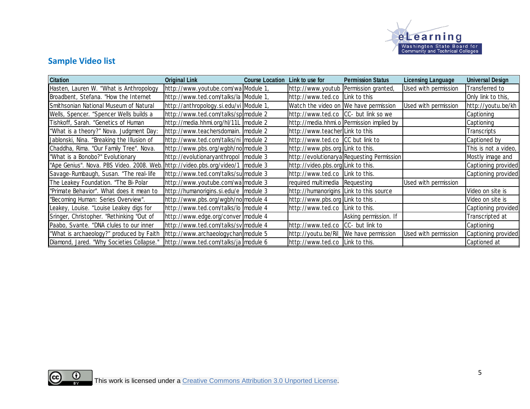

## **Sample Video list**

| <b>Citation</b>                                                                   | <b>Original Link</b>                    | <b>Course Location</b> | Link to use for                         | <b>Permission Status</b>                   | <b>Licensing Language</b> | <b>Universal Design</b> |
|-----------------------------------------------------------------------------------|-----------------------------------------|------------------------|-----------------------------------------|--------------------------------------------|---------------------------|-------------------------|
| Hasten, Lauren W. "What is Anthropology                                           | http://www.youtube.com/walModule 1      |                        | http://www.youtub Permission granted,   |                                            | Used with permission      | Transferred to          |
| Broadbent, Stefana. "How the Internet                                             | http://www.ted.com/talks/la Module 1    |                        | http://www.ted.co Link to this          |                                            |                           | Only link to this,      |
| Smithsonian National Museum of Natural                                            | http://anthropology.si.edu/vi Module 1, |                        |                                         | Watch the video on We have permission      | Used with permission      | http://youtu.be/kh      |
| Wells, Spencer. "Spencer Wells builds a                                           | http://www.ted.com/talks/sp module 2    |                        | http://www.ted.co CC- but link so we    |                                            |                           | Captioning              |
| Tishkoff, Sarah. "Genetics of Human                                               | http://media.hhmi.org/hl/11L   module 2 |                        |                                         | http://media.hhmi.o Permission implied by  |                           | Captioning              |
| "What is a theory?" Nova. Judgment Day:                                           | http://www.teachersdomain.   module 2   |                        | http://www.teacherLink to this          |                                            |                           | Transcripts             |
| Jablonski, Nina. "Breaking the Illusion of                                        | http://www.ted.com/talks/ni module 2    |                        | http://www.ted.co CC but link to        |                                            |                           | Captioned by            |
| Chaddha, Rima. "Our Family Tree". Nova.                                           | http://www.pbs.org/wgbh/nolmodule 3     |                        | http://www.pbs.org Link to this.        |                                            |                           | This is not a video,    |
| "What is a Bonobo?" Evolutionary                                                  | http://evolutionaryanthropol   module 3 |                        |                                         | http://evolutionarya Requesting Permission |                           | Mostly image and        |
| "Ape Genius". Nova. PBS Video. 2008. Web. http://video.pbs.org/video/1   module 3 |                                         |                        | http://video.pbs.org Link to this.      |                                            |                           | Captioning provided     |
| Savage-Rumbaugh, Susan. "The real-life                                            | http://www.ted.com/talks/sumodule 3     |                        | http://www.ted.co Link to this.         |                                            |                           | Captioning provided     |
| The Leakey Foundation. "The Bi-Polar                                              | http://www.youtube.com/walmodule 3      |                        | required multimedia Requesting          |                                            | Used with permission      |                         |
| "Primate Behavior". What does it mean to                                          | http://humanorigins.si.edu/e   module 3 |                        | http://humanorigins Link to this source |                                            |                           | Video on site is        |
| "Becoming Human: Series Overview".                                                | http://www.pbs.org/wgbh/nolmodule 4     |                        | http://www.pbs.org Link to this.        |                                            |                           | Video on site is        |
| Leakey, Louise. "Louise Leakey digs for                                           | http://www.ted.com/talks/lo   module 4  |                        | http://www.ted.co Link to this.         |                                            |                           | Captioning provided     |
| Sringer, Christopher. "Rethinking "Out of                                         | http://www.edge.org/conver module 4     |                        |                                         | Asking permission. If                      |                           | Transcripted at         |
| Paabo, Svante. "DNA clules to our inner                                           | http://www.ted.com/talks/sv module 4    |                        | http://www.ted.co CC- but link to       |                                            |                           | Captioning              |
| "What is archaeology?" produced by Faith                                          | http://www.archaeologychan module 5     |                        |                                         | http://youtu.be/Ril_We have permission     | Used with permission      | Captioning provided     |
| Diamond, Jared. "Why Societies Collapse."                                         | http://www.ted.com/talks/ja   module 6  |                        | http://www.ted.co Link to this.         |                                            |                           | Captioned at            |

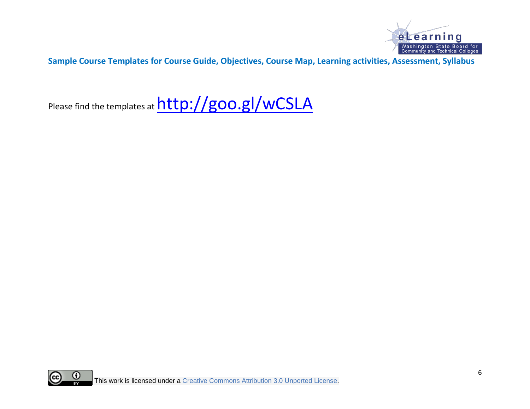

**Sample Course Templates for Course Guide, Objectives, Course Map, Learning activities, Assessment, Syllabus**

Please find the templates at <http://goo.gl/wCSLA>

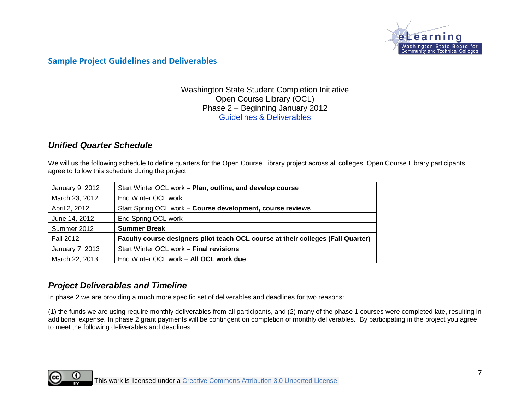

## **Sample Project Guidelines and Deliverables**

Washington State Student Completion Initiative Open Course Library (OCL) Phase 2 – Beginning January 2012 Guidelines & Deliverables

### *Unified Quarter Schedule*

We will us the following schedule to define quarters for the Open Course Library project across all colleges. Open Course Library participants agree to follow this schedule during the project:

| January 9, 2012  | Start Winter OCL work - Plan, outline, and develop course                        |
|------------------|----------------------------------------------------------------------------------|
| March 23, 2012   | End Winter OCL work                                                              |
| April 2, 2012    | Start Spring OCL work - Course development, course reviews                       |
| June 14, 2012    | End Spring OCL work                                                              |
| Summer 2012      | <b>Summer Break</b>                                                              |
| <b>Fall 2012</b> | Faculty course designers pilot teach OCL course at their colleges (Fall Quarter) |
| January 7, 2013  | Start Winter OCL work - Final revisions                                          |
| March 22, 2013   | End Winter OCL work - All OCL work due                                           |

#### *Project Deliverables and Timeline*

In phase 2 we are providing a much more specific set of deliverables and deadlines for two reasons:

(1) the funds we are using require monthly deliverables from all participants, and (2) many of the phase 1 courses were completed late, resulting in additional expense. In phase 2 grant payments will be contingent on completion of monthly deliverables. By participating in the project you agree to meet the following deliverables and deadlines:

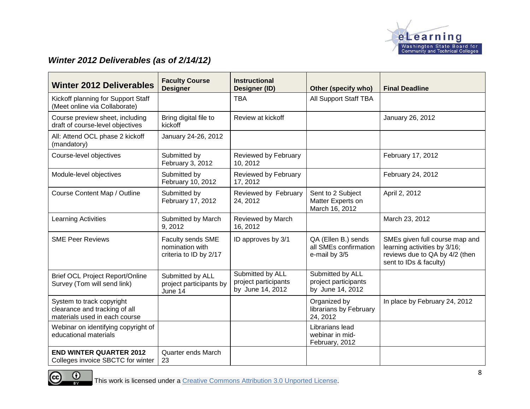

## *Winter 2012 Deliverables (as of 2/14/12)*

| <b>Winter 2012 Deliverables</b>                                                             | <b>Faculty Course</b><br><b>Designer</b>                       | <b>Instructional</b><br>Designer (ID)                        | Other (specify who)                                           | <b>Final Deadline</b>                                                                                                      |
|---------------------------------------------------------------------------------------------|----------------------------------------------------------------|--------------------------------------------------------------|---------------------------------------------------------------|----------------------------------------------------------------------------------------------------------------------------|
| Kickoff planning for Support Staff<br>(Meet online via Collaborate)                         |                                                                | <b>TBA</b>                                                   | All Support Staff TBA                                         |                                                                                                                            |
| Course preview sheet, including<br>draft of course-level objectives                         | Bring digital file to<br>kickoff                               | Review at kickoff                                            |                                                               | January 26, 2012                                                                                                           |
| All: Attend OCL phase 2 kickoff<br>(mandatory)                                              | January 24-26, 2012                                            |                                                              |                                                               |                                                                                                                            |
| Course-level objectives                                                                     | Submitted by<br>February 3, 2012                               | Reviewed by February<br>10, 2012                             |                                                               | February 17, 2012                                                                                                          |
| Module-level objectives                                                                     | Submitted by<br>February 10, 2012                              | Reviewed by February<br>17, 2012                             |                                                               | February 24, 2012                                                                                                          |
| Course Content Map / Outline                                                                | Submitted by<br>February 17, 2012                              | Reviewed by February<br>24, 2012                             | Sent to 2 Subject<br>Matter Experts on<br>March 16, 2012      | April 2, 2012                                                                                                              |
| Learning Activities                                                                         | Submitted by March<br>9, 2012                                  | Reviewed by March<br>16, 2012                                |                                                               | March 23, 2012                                                                                                             |
| <b>SME Peer Reviews</b>                                                                     | Faculty sends SME<br>nomination with<br>criteria to ID by 2/17 | ID approves by 3/1                                           | QA (Ellen B.) sends<br>all SMEs confirmation<br>e-mail by 3/5 | SMEs given full course map and<br>learning activities by 3/16;<br>reviews due to QA by 4/2 (then<br>sent to IDs & faculty) |
| <b>Brief OCL Project Report/Online</b><br>Survey (Tom will send link)                       | Submitted by ALL<br>project participants by<br>June 14         | Submitted by ALL<br>project participants<br>by June 14, 2012 | Submitted by ALL<br>project participants<br>by June 14, 2012  |                                                                                                                            |
| System to track copyright<br>clearance and tracking of all<br>materials used in each course |                                                                |                                                              | Organized by<br>librarians by February<br>24, 2012            | In place by February 24, 2012                                                                                              |
| Webinar on identifying copyright of<br>educational materials                                |                                                                |                                                              | Librarians lead<br>webinar in mid-<br>February, 2012          |                                                                                                                            |
| <b>END WINTER QUARTER 2012</b><br>Colleges invoice SBCTC for winter                         | Quarter ends March<br>23                                       |                                                              |                                                               |                                                                                                                            |

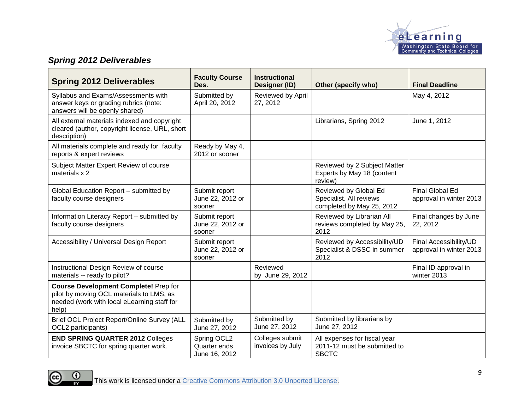

## *Spring 2012 Deliverables*

| <b>Spring 2012 Deliverables</b>                                                                                                                  | <b>Faculty Course</b><br>Des.                | <b>Instructional</b><br>Designer (ID) | Other (specify who)                                                           | <b>Final Deadline</b>                             |  |  |
|--------------------------------------------------------------------------------------------------------------------------------------------------|----------------------------------------------|---------------------------------------|-------------------------------------------------------------------------------|---------------------------------------------------|--|--|
| Syllabus and Exams/Assessments with<br>answer keys or grading rubrics (note:<br>answers will be openly shared)                                   | Submitted by<br>April 20, 2012               | Reviewed by April<br>27, 2012         |                                                                               | May 4, 2012                                       |  |  |
| All external materials indexed and copyright<br>cleared (author, copyright license, URL, short<br>description)                                   |                                              |                                       | Librarians, Spring 2012                                                       | June 1, 2012                                      |  |  |
| All materials complete and ready for faculty<br>reports & expert reviews                                                                         | Ready by May 4,<br>2012 or sooner            |                                       |                                                                               |                                                   |  |  |
| Subject Matter Expert Review of course<br>materials x 2                                                                                          |                                              |                                       | Reviewed by 2 Subject Matter<br>Experts by May 18 (content<br>review)         |                                                   |  |  |
| Global Education Report - submitted by<br>faculty course designers                                                                               | Submit report<br>June 22, 2012 or<br>sooner  |                                       | Reviewed by Global Ed<br>Specialist. All reviews<br>completed by May 25, 2012 | <b>Final Global Ed</b><br>approval in winter 2013 |  |  |
| Information Literacy Report - submitted by<br>faculty course designers                                                                           | Submit report<br>June 22, 2012 or<br>sooner  |                                       | Reviewed by Librarian All<br>reviews completed by May 25,<br>2012             | Final changes by June<br>22, 2012                 |  |  |
| Accessibility / Universal Design Report                                                                                                          | Submit report<br>June 22, 2012 or<br>sooner  |                                       | Reviewed by Accessibility/UD<br>Specialist & DSSC in summer<br>2012           | Final Accessibility/UD<br>approval in winter 2013 |  |  |
| Instructional Design Review of course<br>materials -- ready to pilot?                                                                            |                                              | Reviewed<br>by June 29, 2012          |                                                                               | Final ID approval in<br>winter 2013               |  |  |
| <b>Course Development Complete! Prep for</b><br>pilot by moving OCL materials to LMS, as<br>needed (work with local eLearning staff for<br>help) |                                              |                                       |                                                                               |                                                   |  |  |
| Brief OCL Project Report/Online Survey (ALL<br>OCL2 participants)                                                                                | Submitted by<br>June 27, 2012                | Submitted by<br>June 27, 2012         | Submitted by librarians by<br>June 27, 2012                                   |                                                   |  |  |
| <b>END SPRING QUARTER 2012 Colleges</b><br>invoice SBCTC for spring quarter work.                                                                | Spring OCL2<br>Quarter ends<br>June 16, 2012 | Colleges submit<br>invoices by July   | All expenses for fiscal year<br>2011-12 must be submitted to<br><b>SBCTC</b>  |                                                   |  |  |